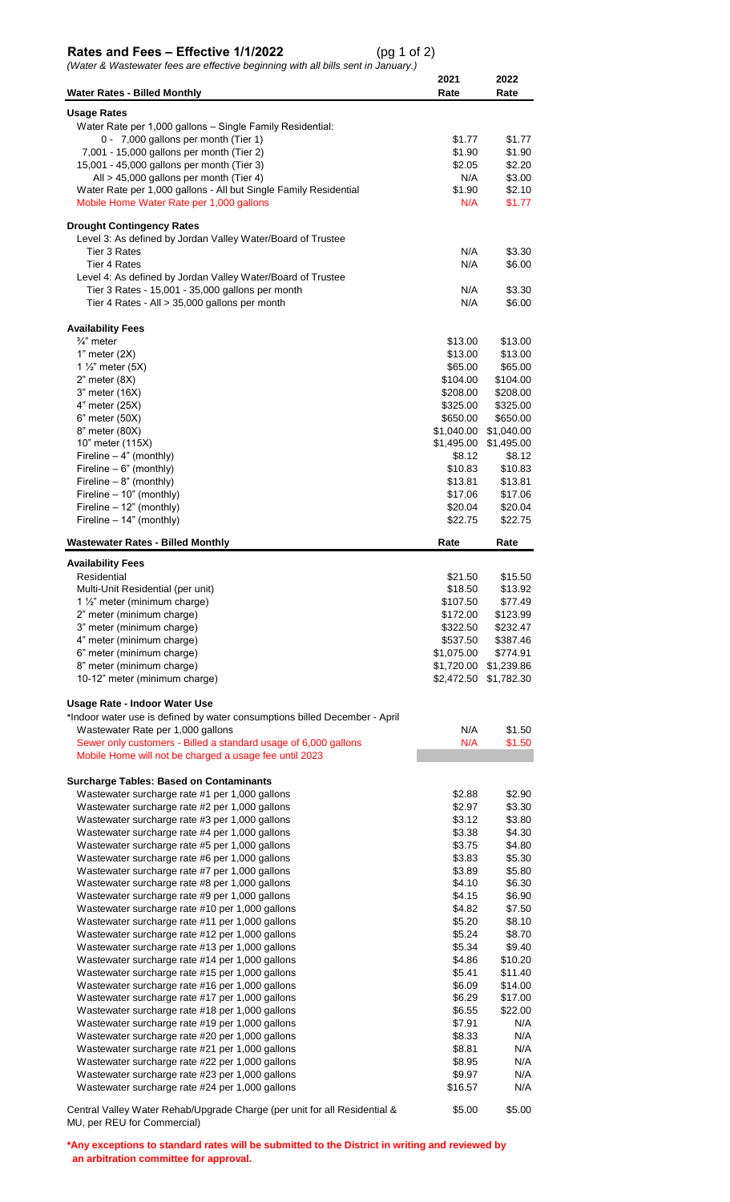## **Rates and Fees – Effective 1/1/2022** (pg 1 of 2)

*(Water & Wastewater fees are effective beginning with all bills sent in January.)*

|                                                                                                    | 2021                 | 2022                 |
|----------------------------------------------------------------------------------------------------|----------------------|----------------------|
| <b>Water Rates - Billed Monthly</b>                                                                | Rate                 | Rate                 |
| <b>Usage Rates</b>                                                                                 |                      |                      |
| Water Rate per 1,000 gallons - Single Family Residential:                                          |                      |                      |
| 0 - 7,000 gallons per month (Tier 1)<br>7,001 - 15,000 gallons per month (Tier 2)                  | \$1.77<br>\$1.90     | \$1.77<br>\$1.90     |
| 15,001 - 45,000 gallons per month (Tier 3)                                                         | \$2.05               | \$2.20               |
| All > 45,000 gallons per month (Tier 4)                                                            | N/A                  | \$3.00               |
| Water Rate per 1,000 gallons - All but Single Family Residential                                   | \$1.90               | \$2.10               |
| Mobile Home Water Rate per 1,000 gallons                                                           | N/A                  | \$1.77               |
| <b>Drought Contingency Rates</b>                                                                   |                      |                      |
| Level 3: As defined by Jordan Valley Water/Board of Trustee                                        |                      |                      |
| Tier 3 Rates                                                                                       | N/A                  | \$3.30               |
| <b>Tier 4 Rates</b>                                                                                | N/A                  | \$6.00               |
| Level 4: As defined by Jordan Valley Water/Board of Trustee                                        | N/A                  | \$3.30               |
| Tier 3 Rates - 15,001 - 35,000 gallons per month<br>Tier 4 Rates - All > 35,000 gallons per month  | N/A                  | \$6.00               |
|                                                                                                    |                      |                      |
| <b>Availability Fees</b>                                                                           |                      |                      |
| $\frac{3}{4}$ " meter                                                                              | \$13.00              | \$13.00              |
| 1" meter $(2X)$<br>1 $\frac{1}{2}$ " meter (5X)                                                    | \$13.00<br>\$65.00   | \$13.00              |
| $2"$ meter $(8X)$                                                                                  | \$104.00             | \$65.00<br>\$104.00  |
| 3" meter (16X)                                                                                     | \$208.00             | \$208.00             |
| 4" meter (25X)                                                                                     | \$325.00             | \$325.00             |
| 6" meter (50X)                                                                                     | \$650.00             | \$650.00             |
| 8" meter (80X)                                                                                     | \$1,040.00           | \$1,040.00           |
| 10" meter (115X)                                                                                   | \$1,495.00           | \$1,495.00           |
| Fireline - 4" (monthly)                                                                            | \$8.12               | \$8.12               |
| Fireline $-6$ " (monthly)                                                                          | \$10.83              | \$10.83              |
| Fireline - 8" (monthly)<br>Fireline - 10" (monthly)                                                | \$13.81<br>\$17.06   | \$13.81<br>\$17.06   |
| Fireline - 12" (monthly)                                                                           | \$20.04              | \$20.04              |
| Fireline - 14" (monthly)                                                                           | \$22.75              | \$22.75              |
|                                                                                                    |                      |                      |
| <b>Wastewater Rates - Billed Monthly</b>                                                           | Rate                 | Rate                 |
| <b>Availability Fees</b>                                                                           |                      |                      |
| Residential                                                                                        | \$21.50              | \$15.50              |
| Multi-Unit Residential (per unit)                                                                  | \$18.50              | \$13.92              |
| 1 $\frac{1}{2}$ " meter (minimum charge)                                                           | \$107.50             | \$77.49              |
| 2" meter (minimum charge)<br>3" meter (minimum charge)                                             | \$172.00<br>\$322.50 | \$123.99<br>\$232.47 |
| 4" meter (minimum charge)                                                                          | \$537.50             | \$387.46             |
| 6" meter (minimum charge)                                                                          | \$1,075.00           | \$774.91             |
| 8" meter (minimum charge)                                                                          | \$1,720.00           | \$1,239.86           |
| 10-12" meter (minimum charge)                                                                      | \$2,472.50           | \$1,782.30           |
| Usage Rate - Indoor Water Use                                                                      |                      |                      |
| *Indoor water use is defined by water consumptions billed December - April                         |                      |                      |
| Wastewater Rate per 1,000 gallons                                                                  | N/A                  | \$1.50               |
| Sewer only customers - Billed a standard usage of 6,000 gallons                                    | N/A                  | \$1.50               |
| Mobile Home will not be charged a usage fee until 2023                                             |                      |                      |
|                                                                                                    |                      |                      |
| <b>Surcharge Tables: Based on Contaminants</b>                                                     |                      |                      |
| Wastewater surcharge rate #1 per 1,000 gallons<br>Wastewater surcharge rate #2 per 1,000 gallons   | \$2.88<br>\$2.97     | \$2.90<br>\$3.30     |
| Wastewater surcharge rate #3 per 1,000 gallons                                                     | \$3.12               | \$3.80               |
| Wastewater surcharge rate #4 per 1,000 gallons                                                     | \$3.38               | \$4.30               |
| Wastewater surcharge rate #5 per 1,000 gallons                                                     | \$3.75               | \$4.80               |
| Wastewater surcharge rate #6 per 1,000 gallons                                                     | \$3.83               | \$5.30               |
| Wastewater surcharge rate #7 per 1,000 gallons                                                     | \$3.89               | \$5.80               |
| Wastewater surcharge rate #8 per 1,000 gallons                                                     | \$4.10               | \$6.30               |
| Wastewater surcharge rate #9 per 1,000 gallons                                                     | \$4.15               | \$6.90               |
| Wastewater surcharge rate #10 per 1,000 gallons<br>Wastewater surcharge rate #11 per 1,000 gallons | \$4.82<br>\$5.20     | \$7.50<br>\$8.10     |
| Wastewater surcharge rate #12 per 1,000 gallons                                                    | \$5.24               | \$8.70               |
| Wastewater surcharge rate #13 per 1,000 gallons                                                    | \$5.34               | \$9.40               |
| Wastewater surcharge rate #14 per 1,000 gallons                                                    | \$4.86               | \$10.20              |
| Wastewater surcharge rate #15 per 1,000 gallons                                                    | \$5.41               | \$11.40              |
| Wastewater surcharge rate #16 per 1,000 gallons                                                    | \$6.09               | \$14.00              |
| Wastewater surcharge rate #17 per 1,000 gallons                                                    | \$6.29               | \$17.00              |
| Wastewater surcharge rate #18 per 1,000 gallons                                                    | \$6.55               | \$22.00              |
| Wastewater surcharge rate #19 per 1,000 gallons                                                    | \$7.91               | N/A<br>N/A           |
| Wastewater surcharge rate #20 per 1,000 gallons<br>Wastewater surcharge rate #21 per 1,000 gallons | \$8.33<br>\$8.81     | N/A                  |
| Wastewater surcharge rate #22 per 1,000 gallons                                                    | \$8.95               | N/A                  |
| Wastewater surcharge rate #23 per 1,000 gallons                                                    | \$9.97               | N/A                  |
| Wastewater surcharge rate #24 per 1,000 gallons                                                    | \$16.57              | N/A                  |
| Central Valley Water Rehab/Upgrade Charge (per unit for all Residential &                          | \$5.00               | \$5.00               |
|                                                                                                    |                      |                      |

Central Valley Water Rehab/Upgrade Charge (per unit for all Residential & MU, per REU for Commercial)

**\*Any exceptions to standard rates will be submitted to the District in writing and reviewed by an arbitration committee for approval.**